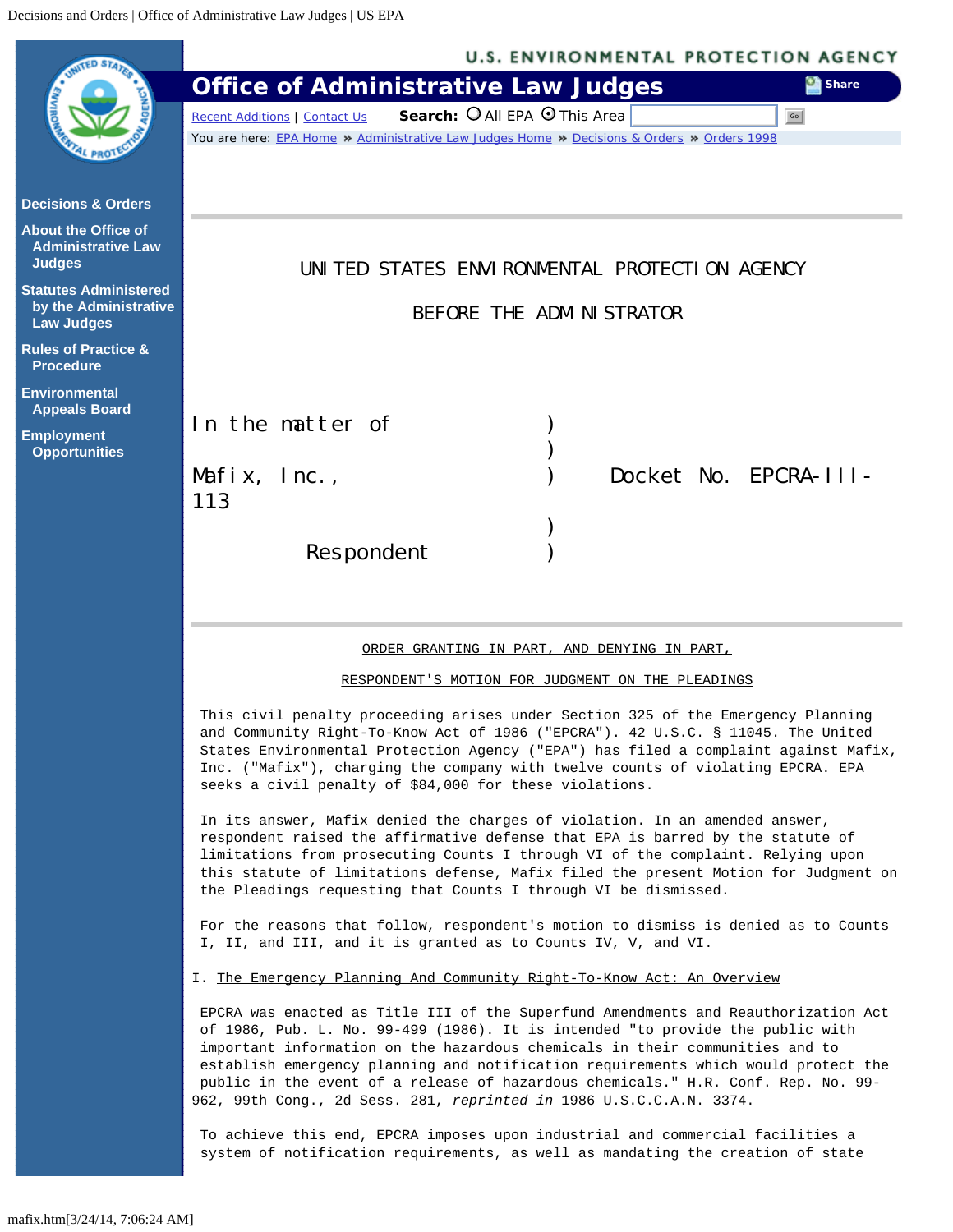<span id="page-0-0"></span>

|                                                                            | <b>U.S. ENVIRONMENTAL PROTECTION AGENCY</b>                                                                                                                                                                                                                                                                                                                                                                                                                                                            |
|----------------------------------------------------------------------------|--------------------------------------------------------------------------------------------------------------------------------------------------------------------------------------------------------------------------------------------------------------------------------------------------------------------------------------------------------------------------------------------------------------------------------------------------------------------------------------------------------|
|                                                                            | <b>Office of Administrative Law Judges</b><br><b>Share</b>                                                                                                                                                                                                                                                                                                                                                                                                                                             |
|                                                                            | Search: O All EPA O This Area<br>Recent Additions   Contact Us<br>Go                                                                                                                                                                                                                                                                                                                                                                                                                                   |
|                                                                            | You are here: EPA Home » Administrative Law Judges Home » Decisions & Orders » Orders 1998                                                                                                                                                                                                                                                                                                                                                                                                             |
| <b>Decisions &amp; Orders</b>                                              |                                                                                                                                                                                                                                                                                                                                                                                                                                                                                                        |
| <b>About the Office of</b><br><b>Administrative Law</b><br><b>Judges</b>   | UNITED STATES ENVIRONMENTAL PROTECTION AGENCY                                                                                                                                                                                                                                                                                                                                                                                                                                                          |
| <b>Statutes Administered</b><br>by the Administrative<br><b>Law Judges</b> | BEFORE THE ADMINISTRATOR                                                                                                                                                                                                                                                                                                                                                                                                                                                                               |
| <b>Rules of Practice &amp;</b><br><b>Procedure</b>                         |                                                                                                                                                                                                                                                                                                                                                                                                                                                                                                        |
| <b>Environmental</b><br><b>Appeals Board</b>                               |                                                                                                                                                                                                                                                                                                                                                                                                                                                                                                        |
| <b>Employment</b>                                                          | In the matter of                                                                                                                                                                                                                                                                                                                                                                                                                                                                                       |
| <b>Opportunities</b>                                                       |                                                                                                                                                                                                                                                                                                                                                                                                                                                                                                        |
|                                                                            | Docket No. EPCRA-III-<br>Mafix, $Inc.,$                                                                                                                                                                                                                                                                                                                                                                                                                                                                |
|                                                                            | 113                                                                                                                                                                                                                                                                                                                                                                                                                                                                                                    |
|                                                                            | Respondent                                                                                                                                                                                                                                                                                                                                                                                                                                                                                             |
|                                                                            |                                                                                                                                                                                                                                                                                                                                                                                                                                                                                                        |
|                                                                            |                                                                                                                                                                                                                                                                                                                                                                                                                                                                                                        |
|                                                                            |                                                                                                                                                                                                                                                                                                                                                                                                                                                                                                        |
|                                                                            | ORDER GRANTING IN PART, AND DENYING IN PART,                                                                                                                                                                                                                                                                                                                                                                                                                                                           |
|                                                                            | RESPONDENT'S MOTION FOR JUDGMENT ON THE PLEADINGS                                                                                                                                                                                                                                                                                                                                                                                                                                                      |
|                                                                            | This civil penalty proceeding arises under Section 325 of the Emergency Planning<br>and Community Right-To-Know Act of 1986 ("EPCRA"). 42 U.S.C. § 11045. The United<br>States Environmental Protection Agency ("EPA") has filed a complaint against Mafix,<br>Inc. ("Mafix"), charging the company with twelve counts of violating EPCRA. EPA<br>seeks a civil penalty of \$84,000 for these violations.                                                                                              |
|                                                                            | In its answer, Mafix denied the charges of violation. In an amended answer,<br>respondent raised the affirmative defense that EPA is barred by the statute of<br>limitations from prosecuting Counts I through VI of the complaint. Relying upon<br>this statute of limitations defense, Mafix filed the present Motion for Judgment on<br>the Pleadings requesting that Counts I through VI be dismissed.                                                                                             |
|                                                                            | For the reasons that follow, respondent's motion to dismiss is denied as to Counts<br>I, II, and III, and it is granted as to Counts IV, V, and VI.                                                                                                                                                                                                                                                                                                                                                    |
|                                                                            | I. The Emergency Planning And Community Right-To-Know Act: An Overview                                                                                                                                                                                                                                                                                                                                                                                                                                 |
|                                                                            | EPCRA was enacted as Title III of the Superfund Amendments and Reauthorization Act<br>of 1986, Pub. L. No. 99-499 (1986). It is intended "to provide the public with<br>important information on the hazardous chemicals in their communities and to<br>establish emergency planning and notification requirements which would protect the<br>public in the event of a release of hazardous chemicals." H.R. Conf. Rep. No. 99-<br>962, 99th Cong., 2d Sess. 281, reprinted in 1986 U.S.C.C.A.N. 3374. |
|                                                                            | To achieve this end, EPCRA imposes upon industrial and commercial facilities a<br>system of notification requirements, as well as mandating the creation of state                                                                                                                                                                                                                                                                                                                                      |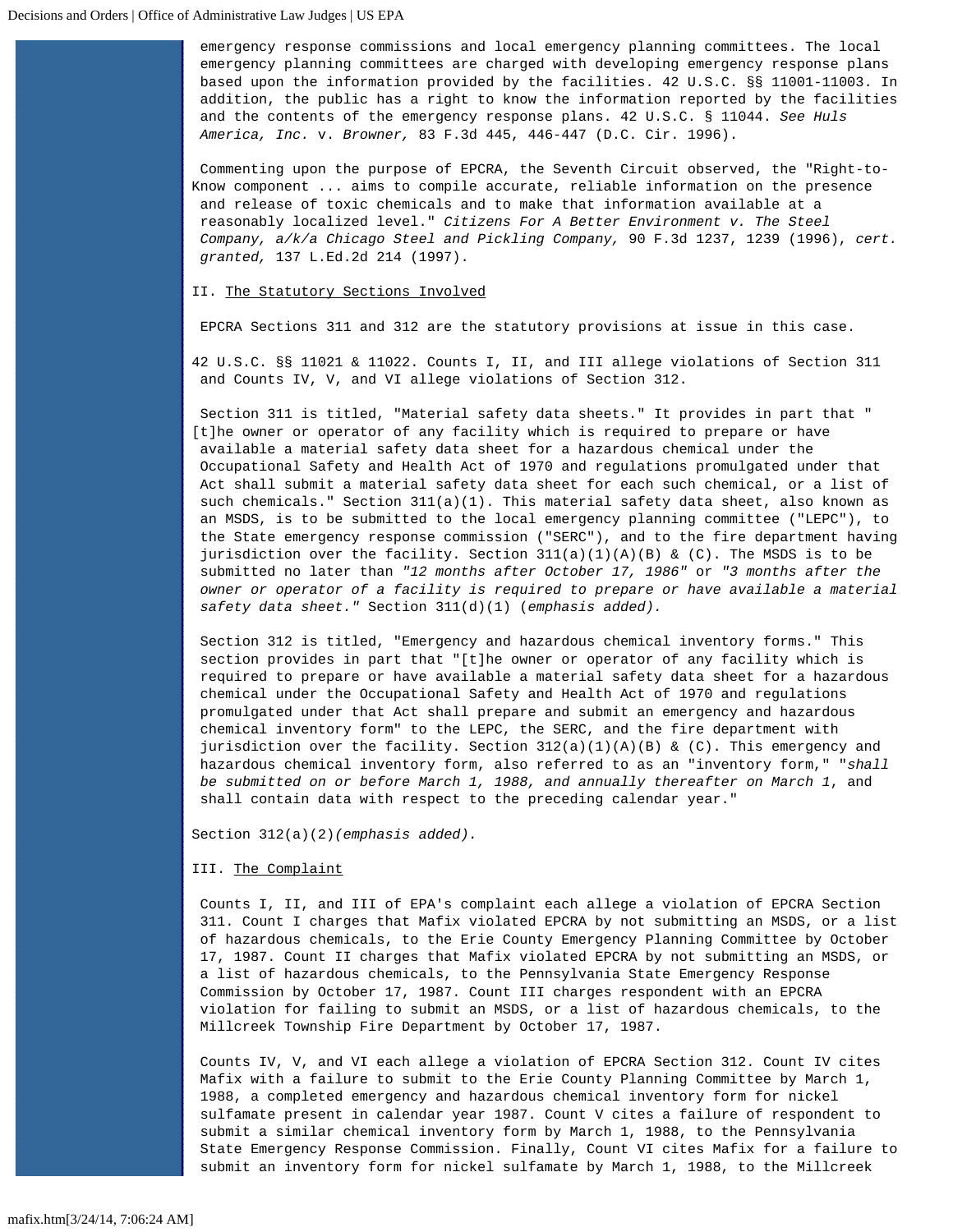emergency response commissions and local emergency planning committees. The local emergency planning committees are charged with developing emergency response plans based upon the information provided by the facilities. 42 U.S.C. §§ 11001-11003. In addition, the public has a right to know the information reported by the facilities and the contents of the emergency response plans. 42 U.S.C. § 11044. *See Huls America, Inc.* v. *Browner,* 83 F.3d 445, 446-447 (D.C. Cir. 1996).

Commenting upon the purpose of EPCRA, the Seventh Circuit observed, the "Right-to-Know component ... aims to compile accurate, reliable information on the presence and release of toxic chemicals and to make that information available at a reasonably localized level." *Citizens For A Better Environment v. The Steel Company, a/k/a Chicago Steel and Pickling Company,* 90 F.3d 1237, 1239 (1996), *cert. granted,* 137 L.Ed.2d 214 (1997).

### II. The Statutory Sections Involved

EPCRA Sections 311 and 312 are the statutory provisions at issue in this case.

42 U.S.C. §§ 11021 & 11022. Counts I, II, and III allege violations of Section 311 and Counts IV, V, and VI allege violations of Section 312.

Section 311 is titled, "Material safety data sheets." It provides in part that " [t]he owner or operator of any facility which is required to prepare or have available a material safety data sheet for a hazardous chemical under the Occupational Safety and Health Act of 1970 and regulations promulgated under that Act shall submit a material safety data sheet for each such chemical, or a list of such chemicals." Section 311(a)(1). This material safety data sheet, also known as an MSDS, is to be submitted to the local emergency planning committee ("LEPC"), to the State emergency response commission ("SERC"), and to the fire department having jurisdiction over the facility. Section  $311(a)(1)(A)(B)$  & (C). The MSDS is to be submitted no later than *"12 months after October 17, 1986"* or *"3 months after the owner or operator of a facility is required to prepare or have available a material safety data sheet."* Section 311(d)(1) (*emphasis added).*

Section 312 is titled, "Emergency and hazardous chemical inventory forms." This section provides in part that "[t]he owner or operator of any facility which is required to prepare or have available a material safety data sheet for a hazardous chemical under the Occupational Safety and Health Act of 1970 and regulations promulgated under that Act shall prepare and submit an emergency and hazardous chemical inventory form" to the LEPC, the SERC, and the fire department with jurisdiction over the facility. Section  $312(a)(1)(A)(B)$  & (C). This emergency and hazardous chemical inventory form, also referred to as an "inventory form," "*shall be submitted on or before March 1, 1988, and annually thereafter on March 1*, and shall contain data with respect to the preceding calendar year."

Section 312(a)(2)*(emphasis added).*

# III. The Complaint

Counts I, II, and III of EPA's complaint each allege a violation of EPCRA Section 311. Count I charges that Mafix violated EPCRA by not submitting an MSDS, or a list of hazardous chemicals, to the Erie County Emergency Planning Committee by October 17, 1987. Count II charges that Mafix violated EPCRA by not submitting an MSDS, or a list of hazardous chemicals, to the Pennsylvania State Emergency Response Commission by October 17, 1987. Count III charges respondent with an EPCRA violation for failing to submit an MSDS, or a list of hazardous chemicals, to the Millcreek Township Fire Department by October 17, 1987.

Counts IV, V, and VI each allege a violation of EPCRA Section 312. Count IV cites Mafix with a failure to submit to the Erie County Planning Committee by March 1, 1988, a completed emergency and hazardous chemical inventory form for nickel sulfamate present in calendar year 1987. Count V cites a failure of respondent to submit a similar chemical inventory form by March 1, 1988, to the Pennsylvania State Emergency Response Commission. Finally, Count VI cites Mafix for a failure to submit an inventory form for nickel sulfamate by March 1, 1988, to the Millcreek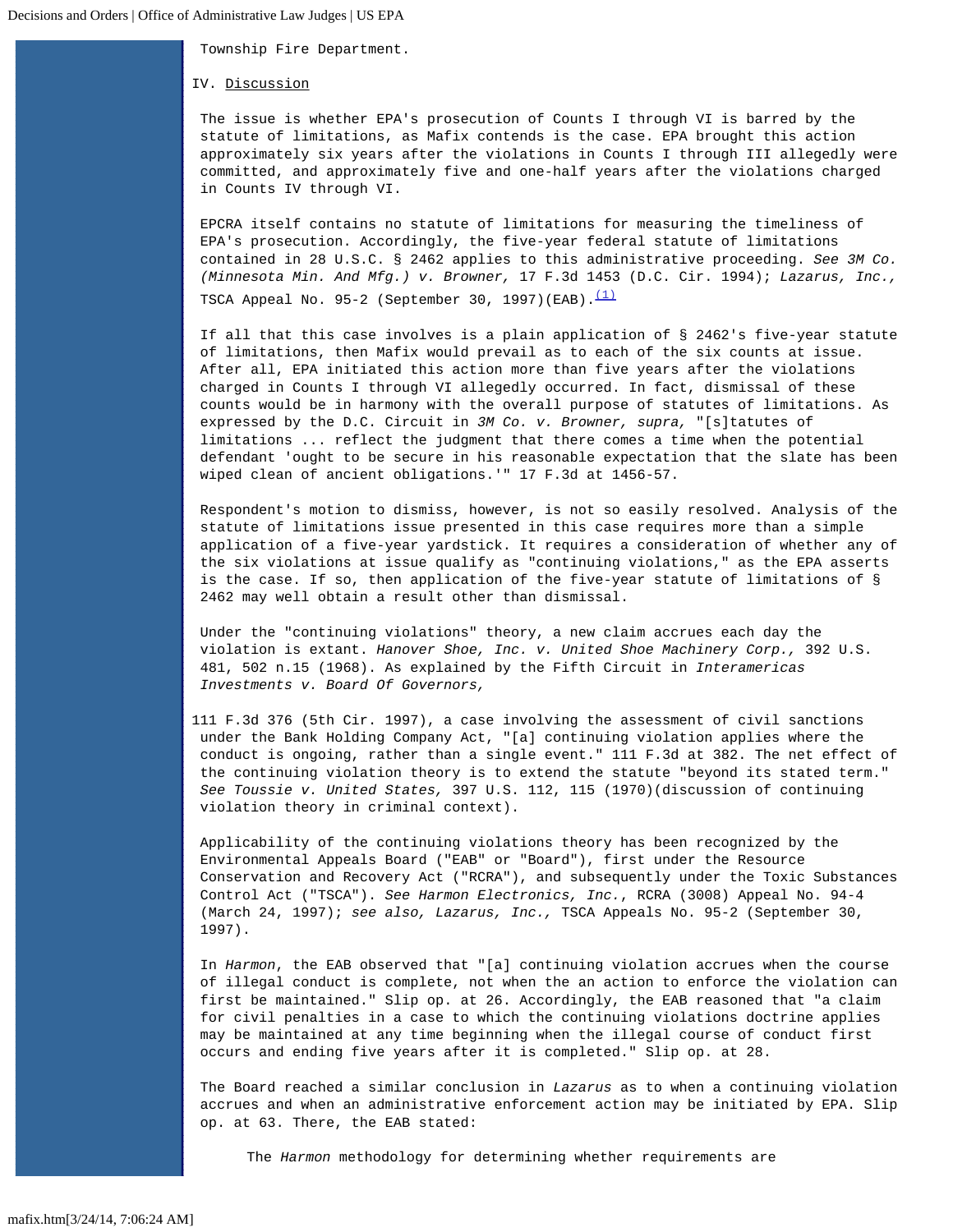Township Fire Department.

IV. Discussion

The issue is whether EPA's prosecution of Counts I through VI is barred by the statute of limitations, as Mafix contends is the case. EPA brought this action approximately six years after the violations in Counts I through III allegedly were committed, and approximately five and one-half years after the violations charged in Counts IV through VI.

EPCRA itself contains no statute of limitations for measuring the timeliness of EPA's prosecution. Accordingly, the five-year federal statute of limitations contained in 28 U.S.C. § 2462 applies to this administrative proceeding. *See 3M Co. (Minnesota Min. And Mfg.) v. Browner,* 17 F.3d 1453 (D.C. Cir. 1994); *Lazarus, Inc.,* TSCA Appeal No. 95-2 (September 30, 1997)(EAB). $(1)$ 

If all that this case involves is a plain application of § 2462's five-year statute of limitations, then Mafix would prevail as to each of the six counts at issue. After all, EPA initiated this action more than five years after the violations charged in Counts I through VI allegedly occurred. In fact, dismissal of these counts would be in harmony with the overall purpose of statutes of limitations. As expressed by the D.C. Circuit in *3M Co. v. Browner, supra,* "[s]tatutes of limitations ... reflect the judgment that there comes a time when the potential defendant 'ought to be secure in his reasonable expectation that the slate has been wiped clean of ancient obligations.'" 17 F.3d at 1456-57.

Respondent's motion to dismiss, however, is not so easily resolved. Analysis of the statute of limitations issue presented in this case requires more than a simple application of a five-year yardstick. It requires a consideration of whether any of the six violations at issue qualify as "continuing violations," as the EPA asserts is the case. If so, then application of the five-year statute of limitations of § 2462 may well obtain a result other than dismissal.

Under the "continuing violations" theory, a new claim accrues each day the violation is extant. *Hanover Shoe, Inc. v. United Shoe Machinery Corp.,* 392 U.S. 481, 502 n.15 (1968). As explained by the Fifth Circuit in *Interamericas Investments v. Board Of Governors,*

111 F.3d 376 (5th Cir. 1997), a case involving the assessment of civil sanctions under the Bank Holding Company Act, "[a] continuing violation applies where the conduct is ongoing, rather than a single event." 111 F.3d at 382. The net effect of the continuing violation theory is to extend the statute "beyond its stated term." *See Toussie v. United States,* 397 U.S. 112, 115 (1970)(discussion of continuing violation theory in criminal context).

Applicability of the continuing violations theory has been recognized by the Environmental Appeals Board ("EAB" or "Board"), first under the Resource Conservation and Recovery Act ("RCRA"), and subsequently under the Toxic Substances Control Act ("TSCA"). *See Harmon Electronics, Inc.*, RCRA (3008) Appeal No. 94-4 (March 24, 1997); *see also, Lazarus, Inc.,* TSCA Appeals No. 95-2 (September 30, 1997).

In *Harmon*, the EAB observed that "[a] continuing violation accrues when the course of illegal conduct is complete, not when the an action to enforce the violation can first be maintained." Slip op. at 26. Accordingly, the EAB reasoned that "a claim for civil penalties in a case to which the continuing violations doctrine applies may be maintained at any time beginning when the illegal course of conduct first occurs and ending five years after it is completed." Slip op. at 28.

The Board reached a similar conclusion in *Lazarus* as to when a continuing violation accrues and when an administrative enforcement action may be initiated by EPA. Slip op. at 63. There, the EAB stated:

The *Harmon* methodology for determining whether requirements are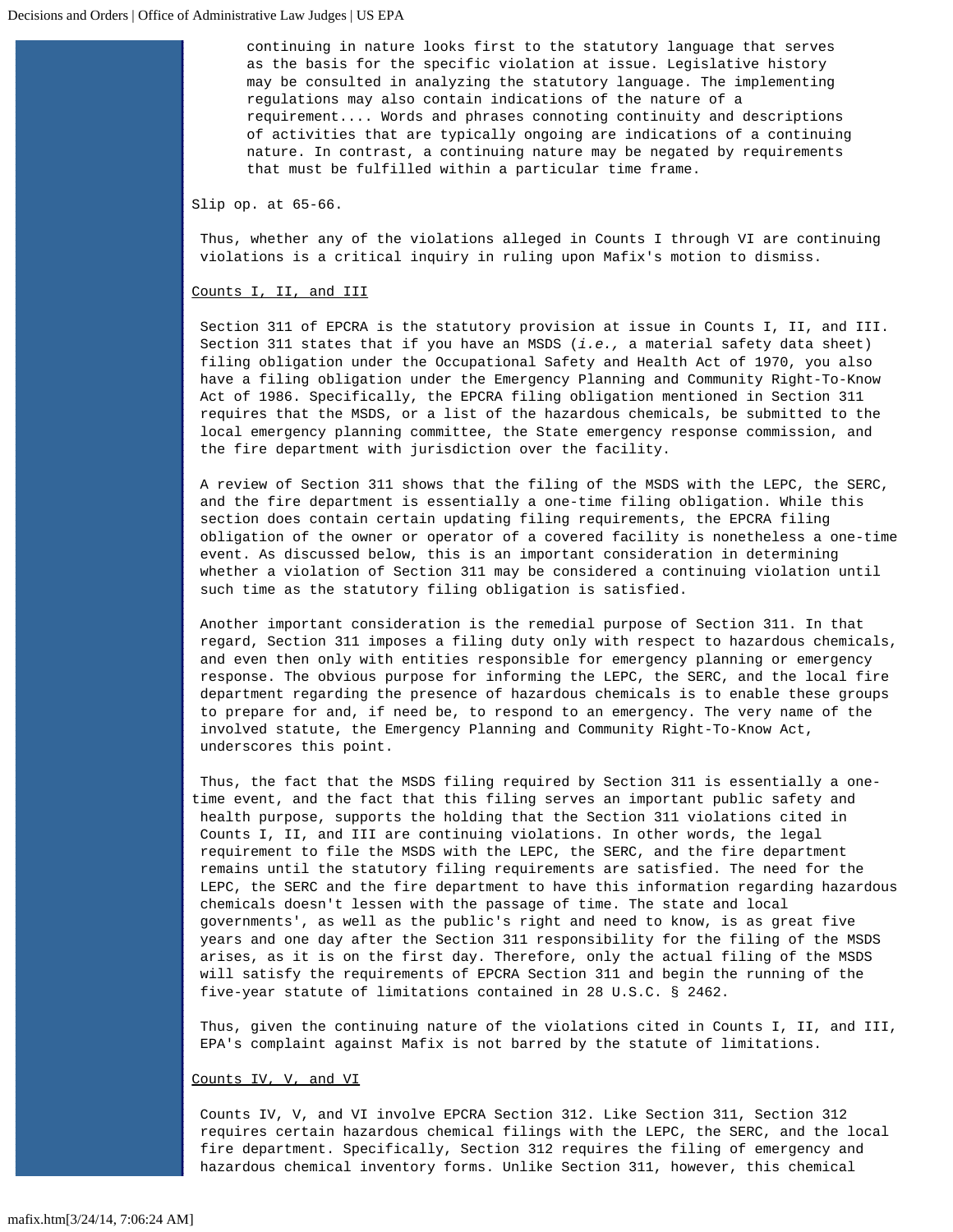continuing in nature looks first to the statutory language that serves as the basis for the specific violation at issue. Legislative history may be consulted in analyzing the statutory language. The implementing regulations may also contain indications of the nature of a requirement.... Words and phrases connoting continuity and descriptions of activities that are typically ongoing are indications of a continuing nature. In contrast, a continuing nature may be negated by requirements that must be fulfilled within a particular time frame.

Slip op. at 65-66.

Thus, whether any of the violations alleged in Counts I through VI are continuing violations is a critical inquiry in ruling upon Mafix's motion to dismiss.

# Counts I, II, and III

Section 311 of EPCRA is the statutory provision at issue in Counts I, II, and III. Section 311 states that if you have an MSDS (*i.e.,* a material safety data sheet) filing obligation under the Occupational Safety and Health Act of 1970, you also have a filing obligation under the Emergency Planning and Community Right-To-Know Act of 1986. Specifically, the EPCRA filing obligation mentioned in Section 311 requires that the MSDS, or a list of the hazardous chemicals, be submitted to the local emergency planning committee, the State emergency response commission, and the fire department with jurisdiction over the facility.

A review of Section 311 shows that the filing of the MSDS with the LEPC, the SERC, and the fire department is essentially a one-time filing obligation. While this section does contain certain updating filing requirements, the EPCRA filing obligation of the owner or operator of a covered facility is nonetheless a one-time event. As discussed below, this is an important consideration in determining whether a violation of Section 311 may be considered a continuing violation until such time as the statutory filing obligation is satisfied.

Another important consideration is the remedial purpose of Section 311. In that regard, Section 311 imposes a filing duty only with respect to hazardous chemicals, and even then only with entities responsible for emergency planning or emergency response. The obvious purpose for informing the LEPC, the SERC, and the local fire department regarding the presence of hazardous chemicals is to enable these groups to prepare for and, if need be, to respond to an emergency. The very name of the involved statute, the Emergency Planning and Community Right-To-Know Act, underscores this point.

Thus, the fact that the MSDS filing required by Section 311 is essentially a onetime event, and the fact that this filing serves an important public safety and health purpose, supports the holding that the Section 311 violations cited in Counts I, II, and III are continuing violations. In other words, the legal requirement to file the MSDS with the LEPC, the SERC, and the fire department remains until the statutory filing requirements are satisfied. The need for the LEPC, the SERC and the fire department to have this information regarding hazardous chemicals doesn't lessen with the passage of time. The state and local governments', as well as the public's right and need to know, is as great five years and one day after the Section 311 responsibility for the filing of the MSDS arises, as it is on the first day. Therefore, only the actual filing of the MSDS will satisfy the requirements of EPCRA Section 311 and begin the running of the five-year statute of limitations contained in 28 U.S.C. § 2462.

Thus, given the continuing nature of the violations cited in Counts I, II, and III, EPA's complaint against Mafix is not barred by the statute of limitations.

#### Counts IV, V, and VI

Counts IV, V, and VI involve EPCRA Section 312. Like Section 311, Section 312 requires certain hazardous chemical filings with the LEPC, the SERC, and the local fire department. Specifically, Section 312 requires the filing of emergency and hazardous chemical inventory forms. Unlike Section 311, however, this chemical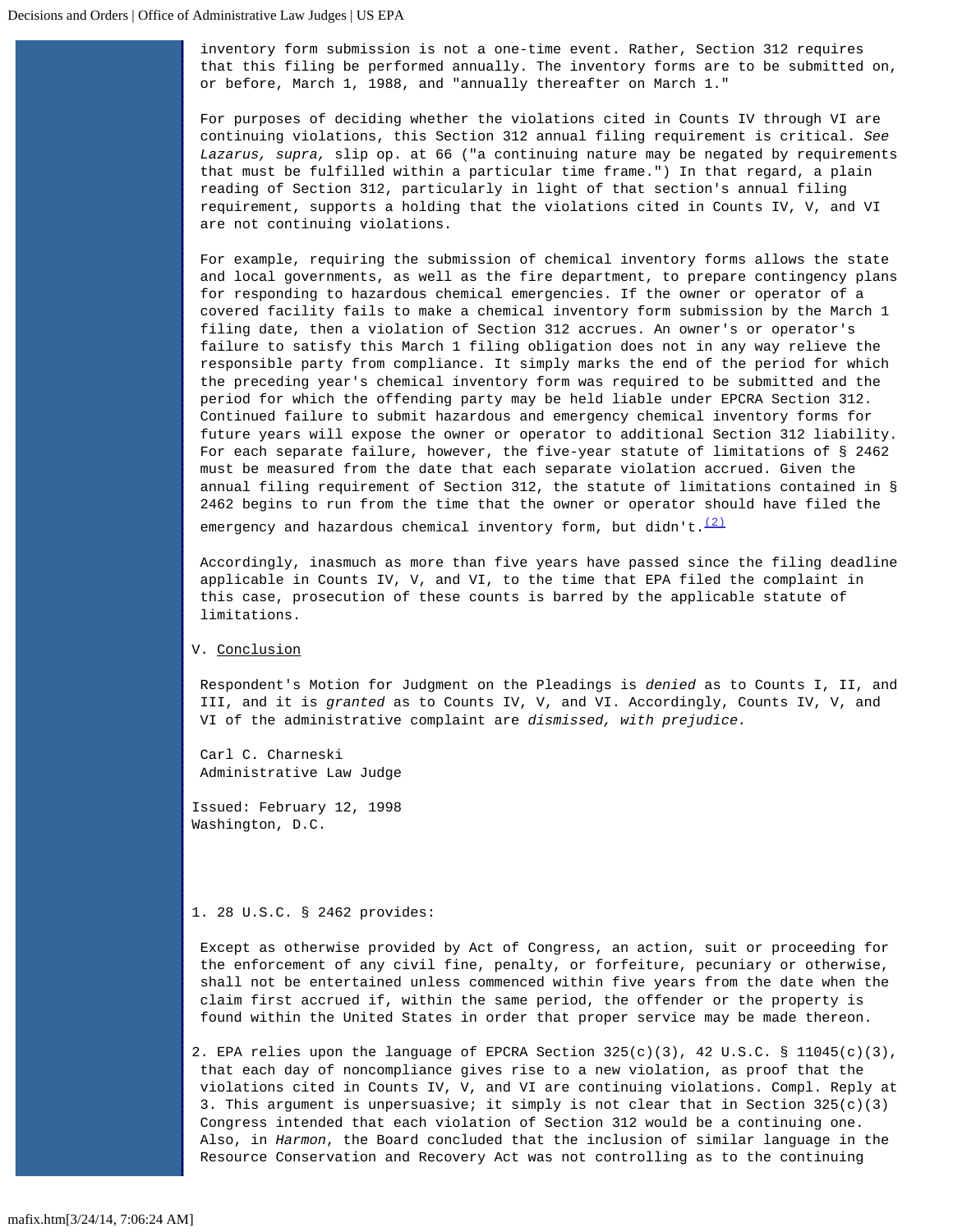inventory form submission is not a one-time event. Rather, Section 312 requires that this filing be performed annually. The inventory forms are to be submitted on, or before, March 1, 1988, and "annually thereafter on March 1."

For purposes of deciding whether the violations cited in Counts IV through VI are continuing violations, this Section 312 annual filing requirement is critical. *See Lazarus, supra,* slip op. at 66 ("a continuing nature may be negated by requirements that must be fulfilled within a particular time frame.") In that regard, a plain reading of Section 312, particularly in light of that section's annual filing requirement, supports a holding that the violations cited in Counts IV, V, and VI are not continuing violations.

For example, requiring the submission of chemical inventory forms allows the state and local governments, as well as the fire department, to prepare contingency plans for responding to hazardous chemical emergencies. If the owner or operator of a covered facility fails to make a chemical inventory form submission by the March 1 filing date, then a violation of Section 312 accrues. An owner's or operator's failure to satisfy this March 1 filing obligation does not in any way relieve the responsible party from compliance. It simply marks the end of the period for which the preceding year's chemical inventory form was required to be submitted and the period for which the offending party may be held liable under EPCRA Section 312. Continued failure to submit hazardous and emergency chemical inventory forms for future years will expose the owner or operator to additional Section 312 liability. For each separate failure, however, the five-year statute of limitations of § 2462 must be measured from the date that each separate violation accrued. Given the annual filing requirement of Section 312, the statute of limitations contained in § 2462 begins to run from the time that the owner or operator should have filed the

emergency and hazardous chemical inventory form, but didn't.<sup>[\(2\)](#page-4-1)</sup>

Accordingly, inasmuch as more than five years have passed since the filing deadline applicable in Counts IV, V, and VI, to the time that EPA filed the complaint in this case, prosecution of these counts is barred by the applicable statute of limitations.

# V. Conclusion

Respondent's Motion for Judgment on the Pleadings is *denied* as to Counts I, II, and III, and it is *granted* as to Counts IV, V, and VI. Accordingly, Counts IV, V, and VI of the administrative complaint are *dismissed, with prejudice.*

Carl C. Charneski Administrative Law Judge

Issued: February 12, 1998 Washington, D.C.

# <span id="page-4-0"></span>1. 28 U.S.C. § 2462 provides:

Except as otherwise provided by Act of Congress, an action, suit or proceeding for the enforcement of any civil fine, penalty, or forfeiture, pecuniary or otherwise, shall not be entertained unless commenced within five years from the date when the claim first accrued if, within the same period, the offender or the property is found within the United States in order that proper service may be made thereon.

<span id="page-4-1"></span>2. EPA relies upon the language of EPCRA Section  $325(c)(3)$ , 42 U.S.C. § 11045(c)(3), that each day of noncompliance gives rise to a new violation, as proof that the violations cited in Counts IV, V, and VI are continuing violations. Compl. Reply at 3. This argument is unpersuasive; it simply is not clear that in Section 325(c)(3) Congress intended that each violation of Section 312 would be a continuing one. Also, in *Harmon*, the Board concluded that the inclusion of similar language in the Resource Conservation and Recovery Act was not controlling as to the continuing